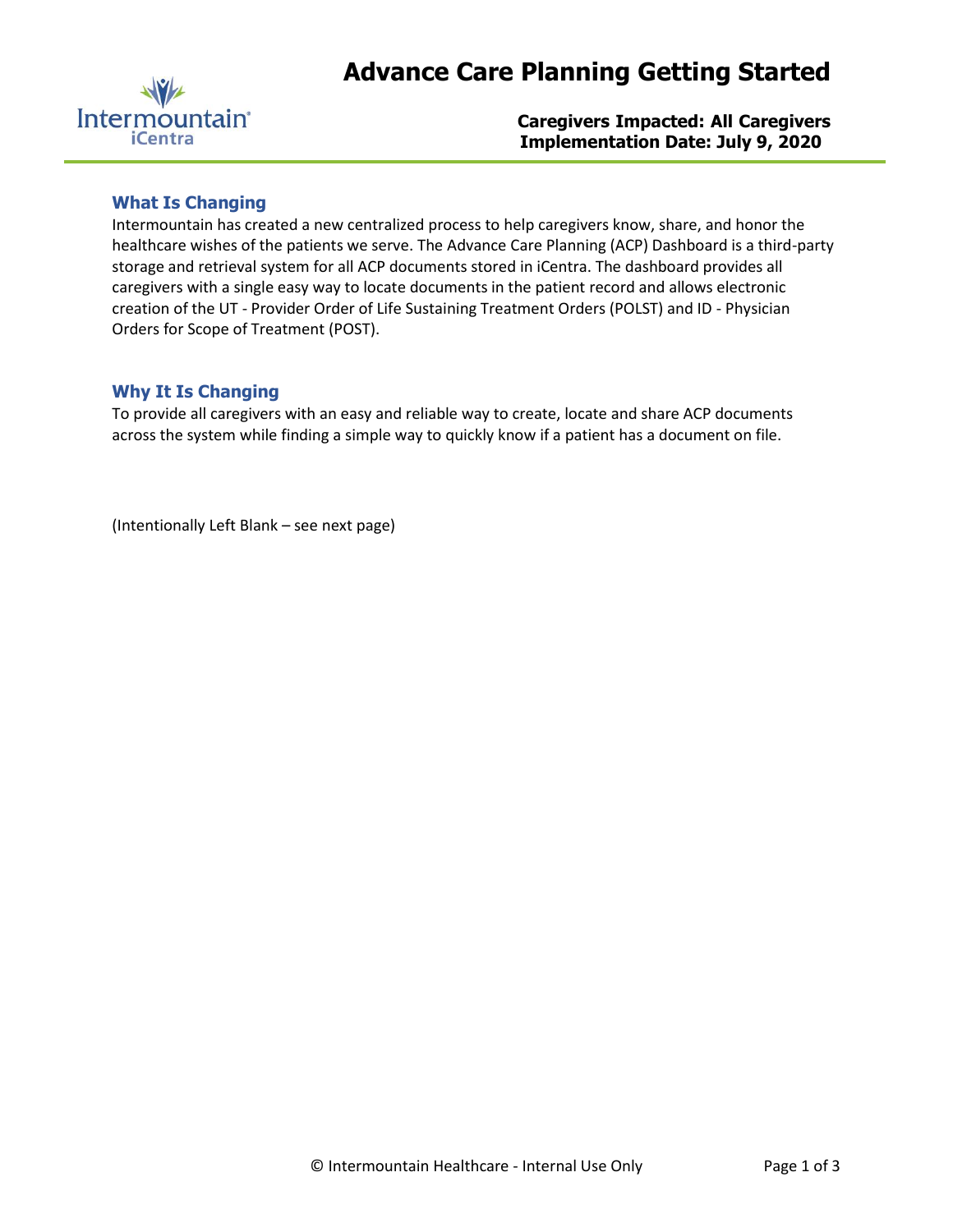

**Caregivers Impacted: All Caregivers Implementation Date: July 9, 2020** 

## **What Is Changing**

Intermountain has created a new centralized process to help caregivers know, share, and honor the healthcare wishes of the patients we serve. The Advance Care Planning (ACP) Dashboard is a third-party storage and retrieval system for all ACP documents stored in iCentra. The dashboard provides all caregivers with a single easy way to locate documents in the patient record and allows electronic creation of the UT - Provider Order of Life Sustaining Treatment Orders (POLST) and ID - Physician Orders for Scope of Treatment (POST).

## **Why It Is Changing**

To provide all caregivers with an easy and reliable way to create, locate and share ACP documents across the system while finding a simple way to quickly know if a patient has a document on file.

(Intentionally Left Blank – see next page)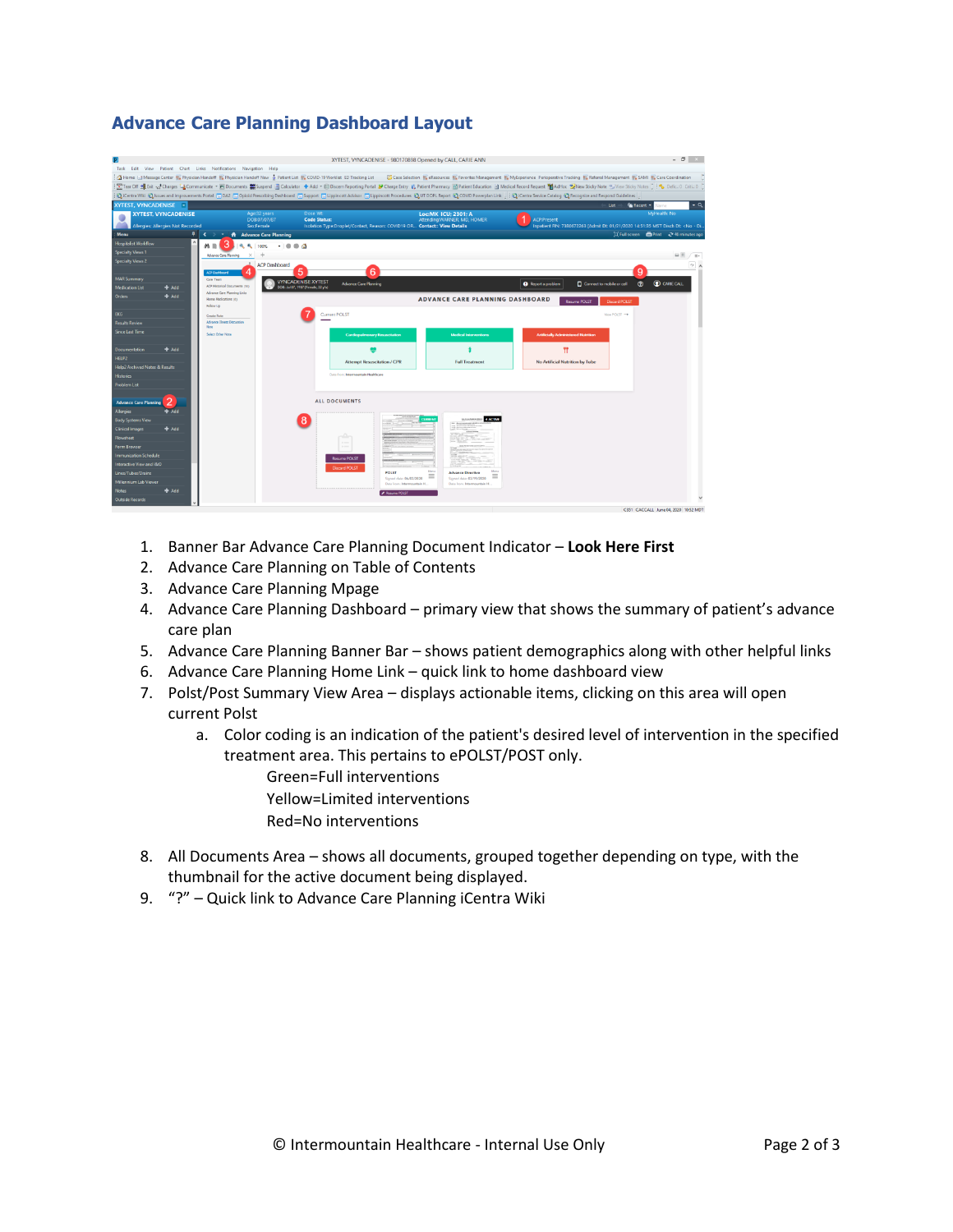# **Advance Care Planning Dashboard Layout**

|                                                                 |                 |                                                                     |                                                                                |                                                                                                              | XYTEST, VYNCADENISE - 980170898 Opened by CALL, CARIE ANN                                |                                                                                                                                                                                                                                        | $- 0 - 1$                                                                                                           |  |  |  |  |  |
|-----------------------------------------------------------------|-----------------|---------------------------------------------------------------------|--------------------------------------------------------------------------------|--------------------------------------------------------------------------------------------------------------|------------------------------------------------------------------------------------------|----------------------------------------------------------------------------------------------------------------------------------------------------------------------------------------------------------------------------------------|---------------------------------------------------------------------------------------------------------------------|--|--|--|--|--|
|                                                                 |                 | Task Edit View Patient Chart Links Notifications Navigation Help    |                                                                                |                                                                                                              |                                                                                          |                                                                                                                                                                                                                                        |                                                                                                                     |  |  |  |  |  |
|                                                                 |                 |                                                                     |                                                                                |                                                                                                              |                                                                                          | A Home <a>Message Center #% Physician Handoff #% Physician Handoff New &amp; Patient List #% COVID-19 Worklist ED Tracking List (Care Selection #% eResources #% Favorites Management #% MyExperience Perioperative Tracking #% Re</a> |                                                                                                                     |  |  |  |  |  |
|                                                                 |                 |                                                                     |                                                                                |                                                                                                              |                                                                                          | 「 Fear Off 通 Exit set Charges La Communicate + Hi Documents #Suspend E Calculator + Add + © Discern Reporting Portal P Charge Entry & Patient Pharmacy (@ Patient Education @ Medical Record Request Madelloc * When Sticky            |                                                                                                                     |  |  |  |  |  |
|                                                                 |                 |                                                                     |                                                                                |                                                                                                              |                                                                                          | ChiCentra Wiki @ Issues and Improvements Portal [7] DA2 [7] Opioid Prescribing Dashboard [7] Support [7] Lippincott Advisor [7] Lippincott Procedures @ UT DOPL Report @ COVID Powerplan Link   2 Centra Service Catalog @ Rec         |                                                                                                                     |  |  |  |  |  |
| <b>XYTEST, VYNCADENISE XI</b>                                   |                 |                                                                     |                                                                                |                                                                                                              |                                                                                          |                                                                                                                                                                                                                                        | Ust -<br>Recent -                                                                                                   |  |  |  |  |  |
| <b>XYTEST, VYNCADENISE</b><br>Allergies: Allergies Not Recorded |                 |                                                                     | Age:32 years<br>DOB:07/07/87<br>Sex:Female                                     | Dose Wt:<br><b>Code Status:</b><br>Isolation Type:Droplet/Contact, Reason: COVID19 OR Contact:: View Details | Loc:MK ICU: 2301: A<br>Attending:WARNER, MD. HOMER                                       | <b>ACP Present</b>                                                                                                                                                                                                                     | MyHealth: No<br>Inpatient FIN: 7380672263 [Admit Dt: 01/21/2020 14:51:35 MST Disch Dt: <no -="" di.<="" td=""></no> |  |  |  |  |  |
| Menu                                                            |                 | $\frac{1}{2}$<br>$\rightarrow$ $\rightarrow$                        | A Advance Care Planning                                                        |                                                                                                              |                                                                                          |                                                                                                                                                                                                                                        | [D] Full screen <b>CD</b> Print <a> 46 minutes ago</a>                                                              |  |  |  |  |  |
| Iospitalist Worldlow                                            |                 | 3<br>$m \equiv 1$<br>۰                                              | <b>ALC</b> 100%<br>$-1000$                                                     |                                                                                                              |                                                                                          |                                                                                                                                                                                                                                        |                                                                                                                     |  |  |  |  |  |
| Specialty Views 1                                               |                 | <b>Advance Care Planning</b><br>$\times$                            | ÷                                                                              |                                                                                                              |                                                                                          |                                                                                                                                                                                                                                        | 田 8 / 3.                                                                                                            |  |  |  |  |  |
| <b>Specialty Views 2</b>                                        |                 | <b>ACP Dashboard</b>                                                | <b>ACP Dashboard</b>                                                           | 6<br>5                                                                                                       |                                                                                          |                                                                                                                                                                                                                                        | $\circ$<br>9                                                                                                        |  |  |  |  |  |
| <b>MAR Summary</b>                                              |                 | Care Team                                                           |                                                                                | <b><i>IYNCADENISE XYTEST</i></b><br><b>Advance Care Planning</b>                                             |                                                                                          | Connect to mobile or cell<br><b>O</b> Report a problem                                                                                                                                                                                 | <b>CO</b> CARECALL<br>$\odot$                                                                                       |  |  |  |  |  |
| <b>Medication List</b>                                          | $#$ Add         | ACP Historical Documents (50)<br><b>Advance Care Planning Links</b> |                                                                                | DOB: Jul 07, 1987 (Female, 32 y/o)                                                                           |                                                                                          |                                                                                                                                                                                                                                        |                                                                                                                     |  |  |  |  |  |
| <b>Orders</b>                                                   | Add             | Home Medications (II)<br>Follow Up                                  | <b>ADVANCE CARE PLANNING DASHBOARD</b><br><b>Resume POLST</b><br>Discard POLST |                                                                                                              |                                                                                          |                                                                                                                                                                                                                                        |                                                                                                                     |  |  |  |  |  |
| <b>EKG</b>                                                      |                 | Create Note                                                         |                                                                                | Current POLST                                                                                                |                                                                                          |                                                                                                                                                                                                                                        | View POLST →                                                                                                        |  |  |  |  |  |
| <b>Results Review</b>                                           |                 | Advance Eliness Discussion<br>Newa                                  |                                                                                |                                                                                                              |                                                                                          |                                                                                                                                                                                                                                        |                                                                                                                     |  |  |  |  |  |
| Since Last Time                                                 |                 | Select Other Note                                                   |                                                                                | <b>Cardiopulmonary Resuscitation</b>                                                                         | <b>Medical Interventions</b>                                                             | <b>Artificially Administered Nutrition</b>                                                                                                                                                                                             |                                                                                                                     |  |  |  |  |  |
| Documentation                                                   | $+Add$          |                                                                     |                                                                                |                                                                                                              |                                                                                          | Ħ                                                                                                                                                                                                                                      |                                                                                                                     |  |  |  |  |  |
| HELP2                                                           |                 |                                                                     |                                                                                | <b>Attempt Resuscitation / CPR</b>                                                                           | <b>Full Treatment</b>                                                                    | No Artificial Nutrition by Tube                                                                                                                                                                                                        |                                                                                                                     |  |  |  |  |  |
| <b>Help2 Archived Notes &amp; Results</b>                       |                 |                                                                     |                                                                                |                                                                                                              |                                                                                          |                                                                                                                                                                                                                                        |                                                                                                                     |  |  |  |  |  |
| listories                                                       |                 |                                                                     |                                                                                | Data from: Intermountain Healthcare                                                                          |                                                                                          |                                                                                                                                                                                                                                        |                                                                                                                     |  |  |  |  |  |
| <b>Problem List</b>                                             |                 |                                                                     |                                                                                |                                                                                                              |                                                                                          |                                                                                                                                                                                                                                        |                                                                                                                     |  |  |  |  |  |
| <b>Advance Care Planning</b>                                    | 2               |                                                                     |                                                                                | <b>ALL DOCUMENTS</b>                                                                                         |                                                                                          |                                                                                                                                                                                                                                        |                                                                                                                     |  |  |  |  |  |
| <b>Allergies</b>                                                | de Add          |                                                                     |                                                                                |                                                                                                              |                                                                                          |                                                                                                                                                                                                                                        |                                                                                                                     |  |  |  |  |  |
| <b>Body Systems View</b>                                        |                 |                                                                     |                                                                                | 8                                                                                                            | <b>4 ACTME</b><br><b>CURRENT</b><br>Le non Fatco Di I                                    |                                                                                                                                                                                                                                        |                                                                                                                     |  |  |  |  |  |
| <b>Clinical Images</b>                                          | A <sub>dd</sub> |                                                                     |                                                                                |                                                                                                              |                                                                                          |                                                                                                                                                                                                                                        |                                                                                                                     |  |  |  |  |  |
| <b>Flowsheet</b>                                                |                 |                                                                     |                                                                                |                                                                                                              |                                                                                          |                                                                                                                                                                                                                                        |                                                                                                                     |  |  |  |  |  |
| Form Browser                                                    |                 |                                                                     |                                                                                |                                                                                                              |                                                                                          |                                                                                                                                                                                                                                        |                                                                                                                     |  |  |  |  |  |
| mmunization Schedule                                            |                 |                                                                     |                                                                                | <b>Resume POLST</b>                                                                                          |                                                                                          |                                                                                                                                                                                                                                        |                                                                                                                     |  |  |  |  |  |
| Interactive View and I&O                                        |                 |                                                                     |                                                                                | <b>Discard POLST</b>                                                                                         | Mary<br><b>Mar</b>                                                                       |                                                                                                                                                                                                                                        |                                                                                                                     |  |  |  |  |  |
| Lines/Tubes/Drains                                              |                 |                                                                     |                                                                                | <b>POLST</b>                                                                                                 | <b>Advance Directive</b><br>Ξ<br>Ξ<br>Signed date: 06/02/2020<br>Signed date: 03/19/2020 |                                                                                                                                                                                                                                        |                                                                                                                     |  |  |  |  |  |
| Millennium Lab Viewer                                           |                 |                                                                     |                                                                                |                                                                                                              | Data forest Intermo-<br>Data from: Intermountain H.                                      |                                                                                                                                                                                                                                        |                                                                                                                     |  |  |  |  |  |
| <b>Notes</b>                                                    | A <sub>dd</sub> |                                                                     |                                                                                | Resume POLST                                                                                                 |                                                                                          |                                                                                                                                                                                                                                        |                                                                                                                     |  |  |  |  |  |
| <b>Outside Records</b>                                          |                 |                                                                     |                                                                                |                                                                                                              |                                                                                          |                                                                                                                                                                                                                                        |                                                                                                                     |  |  |  |  |  |
|                                                                 |                 |                                                                     |                                                                                |                                                                                                              |                                                                                          |                                                                                                                                                                                                                                        | C351 CACCALL June 04, 2020 10:52 MDT                                                                                |  |  |  |  |  |

- 1. Banner Bar Advance Care Planning Document Indicator **Look Here First**
- 2. Advance Care Planning on Table of Contents
- 3. Advance Care Planning Mpage
- 4. Advance Care Planning Dashboard primary view that shows the summary of patient's advance care plan
- 5. Advance Care Planning Banner Bar shows patient demographics along with other helpful links
- 6. Advance Care Planning Home Link quick link to home dashboard view
- 7. Polst/Post Summary View Area displays actionable items, clicking on this area will open current Polst
	- a. Color coding is an indication of the patient's desired level of intervention in the specified treatment area. This pertains to ePOLST/POST only.
		- Green=Full interventions
		- Yellow=Limited interventions
		- Red=No interventions
- 8. All Documents Area shows all documents, grouped together depending on type, with the thumbnail for the active document being displayed.
- 9. "?" Quick link to Advance Care Planning iCentra Wiki